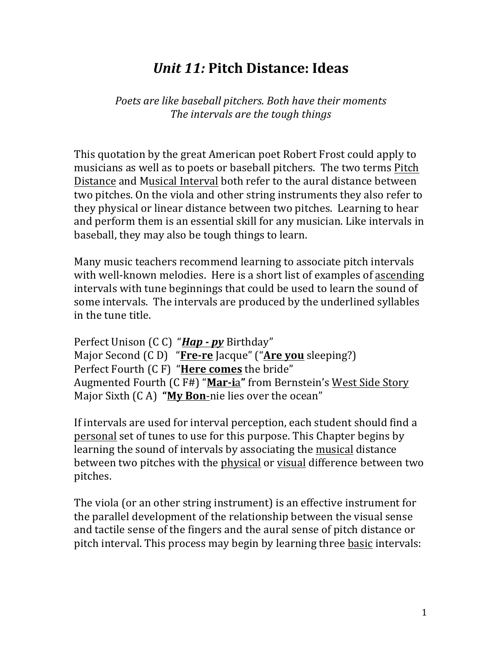# *Unit 11:* **Pitch Distance: Ideas**

Poets are like baseball pitchers. Both have their moments The *intervals* are the tough things

This quotation by the great American poet Robert Frost could apply to musicians as well as to poets or baseball pitchers. The two terms Pitch Distance and Musical Interval both refer to the aural distance between two pitches. On the viola and other string instruments they also refer to they physical or linear distance between two pitches. Learning to hear and perform them is an essential skill for any musician. Like intervals in baseball, they may also be tough things to learn.

Many music teachers recommend learning to associate pitch intervals with well-known melodies. Here is a short list of examples of ascending intervals with tune beginnings that could be used to learn the sound of some intervals. The intervals are produced by the underlined syllables in the tune title.

Perfect Unison (CC) "*Hap* - *py* Birthday" Major Second (C D) "**Fre-re** Jacque" ("Are you sleeping?) Perfect Fourth (C F) "Here comes the bride" Augmented Fourth (C F#) "**Mar-i**a" from Bernstein's West Side Story Major Sixth (CA) "My Bon-nie lies over the ocean"

If intervals are used for interval perception, each student should find a personal set of tunes to use for this purpose. This Chapter begins by learning the sound of intervals by associating the musical distance between two pitches with the physical or visual difference between two pitches. 

The viola (or an other string instrument) is an effective instrument for the parallel development of the relationship between the visual sense and tactile sense of the fingers and the aural sense of pitch distance or pitch interval. This process may begin by learning three basic intervals: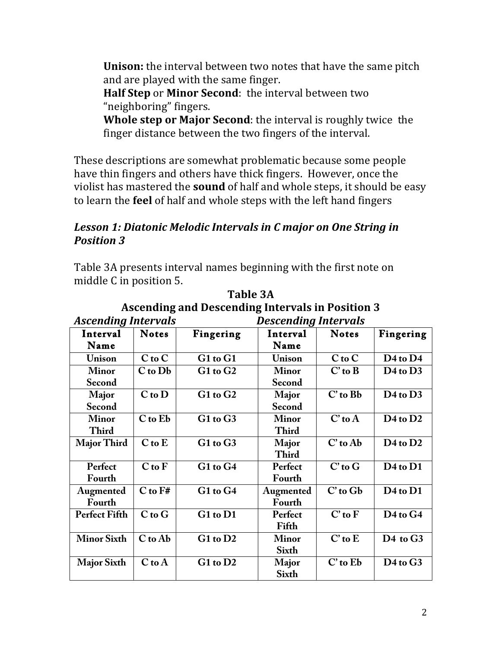**Unison:** the interval between two notes that have the same pitch and are played with the same finger.

**Half Step** or **Minor Second**: the interval between two "neighboring" fingers.

**Whole step or Major Second:** the interval is roughly twice the finger distance between the two fingers of the interval.

These descriptions are somewhat problematic because some people have thin fingers and others have thick fingers. However, once the violist has mastered the **sound** of half and whole steps, it should be easy to learn the **feel** of half and whole steps with the left hand fingers

### Lesson 1: Diatonic Melodic Intervals in C major on One String in *Position 3*

Table 3A presents interval names beginning with the first note on middle C in position 5.

| <b>Ascending Intervals</b> |              |              | <b>Descending Intervals</b> |              |                                  |
|----------------------------|--------------|--------------|-----------------------------|--------------|----------------------------------|
| Interval                   | <b>Notes</b> | Fingering    | Interval                    | <b>Notes</b> | Fingering                        |
| Name                       |              |              | Name                        |              |                                  |
| Unison                     | $C$ to $C$   | G1 to G1     | Unison                      | $C$ to $C$   | $D4$ to $D4$                     |
| <b>Minor</b>               | C to Db      | $G1$ to $G2$ | <b>Minor</b>                | $C'$ to $B$  | $D4$ to $D3$                     |
| Second                     |              |              | Second                      |              |                                  |
| <b>Major</b>               | $C$ to $D$   | $G1$ to $G2$ | Major                       | C' to Bb     | $D4$ to $D3$                     |
| Second                     |              |              | Second                      |              |                                  |
| <b>Minor</b>               | C to Eb      | G1 to G3     | <b>Minor</b>                | $C'$ to $A$  | $D4$ to $D2$                     |
| <b>Third</b>               |              |              | <b>Third</b>                |              |                                  |
| <b>Major Third</b>         | $C$ to $E$   | G1 to G3     | Major                       | C' to Ab     | D <sub>4</sub> to D <sub>2</sub> |
|                            |              |              | <b>Third</b>                |              |                                  |
| Perfect                    | $C$ to $F$   | G1 to G4     | Perfect                     | $C'$ to $G$  | $D4$ to $D1$                     |
| Fourth                     |              |              | Fourth                      |              |                                  |
| Augmented                  | $C$ to $F#$  | G1 to G4     | Augmented                   | $C'$ to $Gb$ | D <sub>4</sub> to D <sub>1</sub> |
| Fourth                     |              |              | Fourth                      |              |                                  |
| <b>Perfect Fifth</b>       | $C$ to $G$   | G1 to D1     | Perfect                     | $C'$ to $F$  | D <sub>4</sub> to G <sub>4</sub> |
|                            |              |              | Fifth                       |              |                                  |
| <b>Minor Sixth</b>         | C to Ab      | $G1$ to $D2$ | <b>Minor</b>                | $C'$ to $E$  | D <sub>4</sub> to G <sub>3</sub> |
|                            |              |              | <b>Sixth</b>                |              |                                  |
| <b>Major Sixth</b>         | $C$ to $A$   | G1 to D2     | <b>Major</b>                | C' to Eb     | D <sub>4</sub> to G <sub>3</sub> |
|                            |              |              | <b>Sixth</b>                |              |                                  |

**Table 3A Ascending and Descending Intervals in Position 3**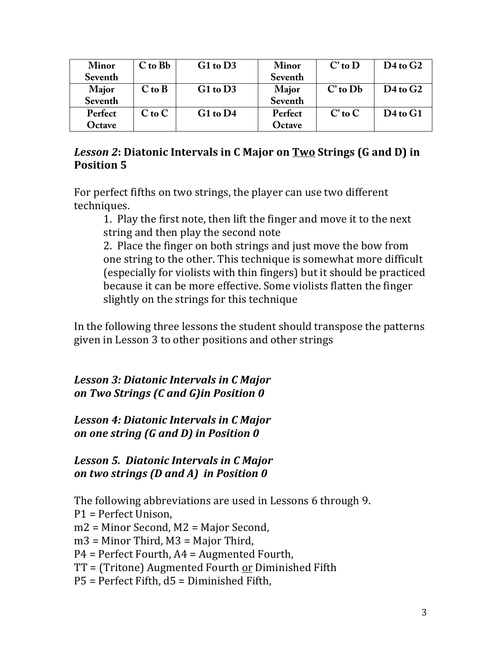| <b>Minor</b> | $C$ to $Bb$ | $G1$ to $D3$ | <b>Minor</b> | $C'$ to $D$  | $D4$ to $G2$           |
|--------------|-------------|--------------|--------------|--------------|------------------------|
| Seventh      |             |              | Seventh      |              |                        |
| Major        | $C$ to $B$  | $G1$ to $D3$ | <b>Major</b> | $C'$ to $Db$ | D <sub>4</sub> to $G2$ |
| Seventh      |             |              | Seventh      |              |                        |
| Perfect      | $C$ to $C$  | $G1$ to $D4$ | Perfect      | $C'$ to $C$  | $D4$ to $G1$           |
| Octave       |             |              | Octave       |              |                        |

## *Lesson 2***: Diatonic Intervals in C Major on Two Strings (G and D) in Position 5**

For perfect fifths on two strings, the player can use two different techniques.

1. Play the first note, then lift the finger and move it to the next string and then play the second note

2. Place the finger on both strings and just move the bow from one string to the other. This technique is somewhat more difficult (especially for violists with thin fingers) but it should be practiced because it can be more effective. Some violists flatten the finger slightly on the strings for this technique

In the following three lessons the student should transpose the patterns given in Lesson 3 to other positions and other strings

*Lesson 3: Diatonic Intervals in C Major on Two Strings (C and G)in Position 0*

*Lesson 4: Diatonic Intervals in C Major on* one string (G and D) in Position 0

Lesson 5. Diatonic Intervals in C Major *on two strings (D and A) in Position 0* 

The following abbreviations are used in Lessons 6 through 9.  $P1 =$  Perfect Unison,  $m2$  = Minor Second, M2 = Major Second,  $m3$  = Minor Third, M3 = Major Third,  $P4$  = Perfect Fourth,  $A4$  = Augmented Fourth,  $TT = (Tritone)$  Augmented Fourth or Diminished Fifth  $P5$  = Perfect Fifth,  $d5$  = Diminished Fifth,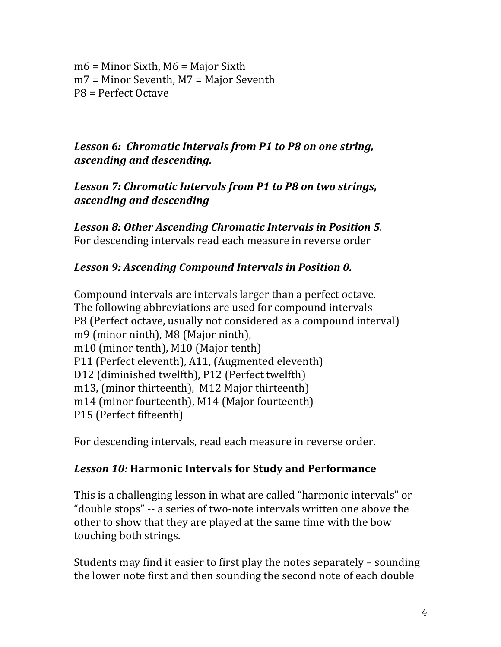$m6$  = Minor Sixth, M6 = Major Sixth  $m7$  = Minor Seventh, M7 = Major Seventh  $PB =$  Perfect Octave

*Lesson 6: Chromatic Intervals from P1 to P8 on one string, ascending and descending.*

Lesson 7: Chromatic Intervals from P1 to P8 on two strings, *ascending and descending*

Lesson 8: Other Ascending Chromatic Intervals in Position 5. For descending intervals read each measure in reverse order

#### Lesson 9: Ascending Compound Intervals in Position 0.

Compound intervals are intervals larger than a perfect octave. The following abbreviations are used for compound intervals P8 (Perfect octave, usually not considered as a compound interval) m9 (minor ninth), M8 (Major ninth), m10 (minor tenth), M10 (Major tenth) P11 (Perfect eleventh), A11, (Augmented eleventh) D12 (diminished twelfth), P12 (Perfect twelfth) m13, (minor thirteenth), M12 Major thirteenth) m14 (minor fourteenth), M14 (Major fourteenth) P15 (Perfect fifteenth)

For descending intervals, read each measure in reverse order.

#### *Lesson 10:* **Harmonic Intervals for Study and Performance**

This is a challenging lesson in what are called "harmonic intervals" or "double stops" -- a series of two-note intervals written one above the other to show that they are played at the same time with the bow touching both strings.

Students may find it easier to first play the notes separately  $-$  sounding the lower note first and then sounding the second note of each double